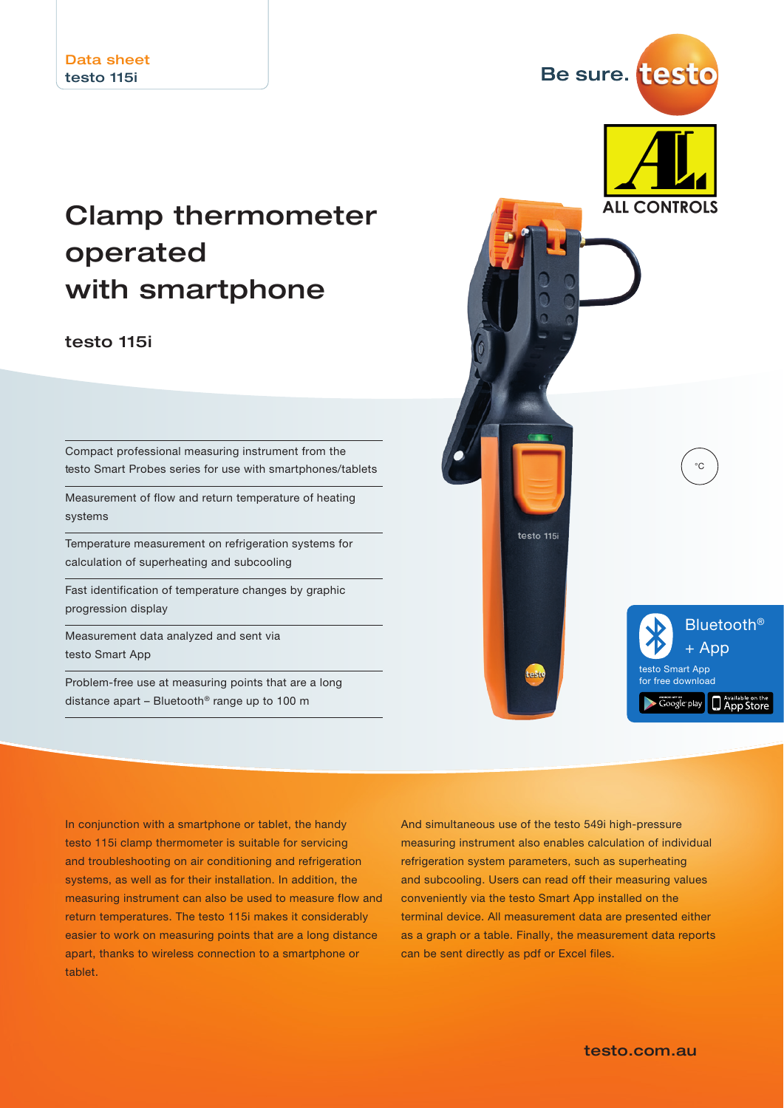# Clamp thermometer operated with smartphone

## testo 115i

Compact professional measuring instrument from the testo Smart Probes series for use with smartphones/tablets

Measurement of flow and return temperature of heating systems

Temperature measurement on refrigeration systems for calculation of superheating and subcooling

Fast identification of temperature changes by graphic progression display

Measurement data analyzed and sent via testo Smart App

Problem-free use at measuring points that are a long distance apart – Bluetooth® range up to 100 m



Be sure. test

In conjunction with a smartphone or tablet, the handy testo 115i clamp thermometer is suitable for servicing and troubleshooting on air conditioning and refrigeration systems, as well as for their installation. In addition, the measuring instrument can also be used to measure flow and return temperatures. The testo 115i makes it considerably easier to work on measuring points that are a long distance apart, thanks to wireless connection to a smartphone or tablet.

And simultaneous use of the testo 549i high-pressure measuring instrument also enables calculation of individual refrigeration system parameters, such as superheating and subcooling. Users can read off their measuring values conveniently via the testo Smart App installed on the terminal device. All measurement data are presented either as a graph or a table. Finally, the measurement data reports can be sent directly as pdf or Excel files.